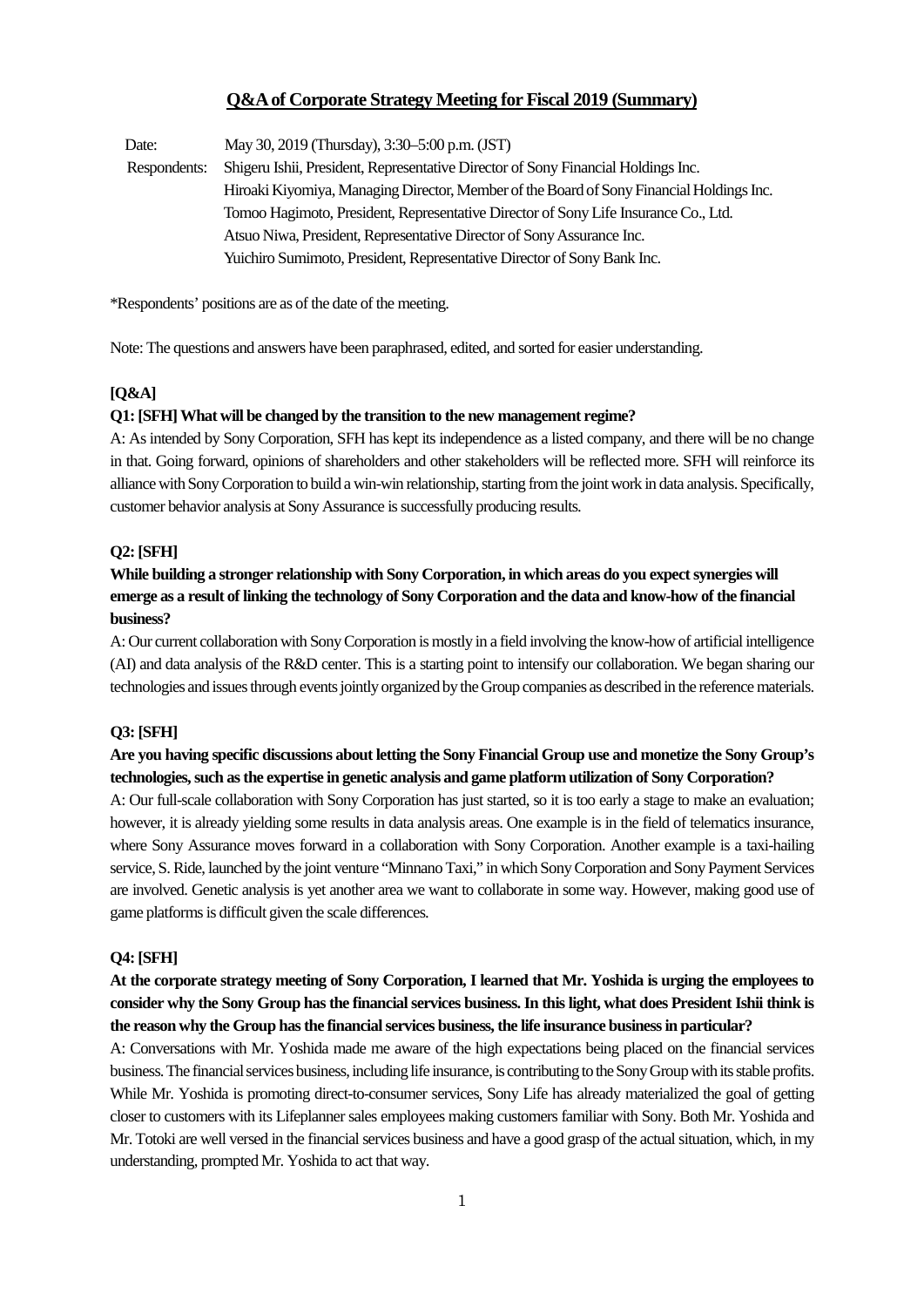# **Q&A of Corporate Strategy Meeting for Fiscal 2019 (Summary)**

Date: May 30, 2019 (Thursday), 3:30–5:00 p.m. (JST) Respondents: Shigeru Ishii, President, Representative Director of Sony Financial Holdings Inc. Hiroaki Kiyomiya, Managing Director, Member of the Board of Sony Financial Holdings Inc. Tomoo Hagimoto, President, Representative Director of Sony Life Insurance Co., Ltd. Atsuo Niwa, President, Representative Director of Sony Assurance Inc. Yuichiro Sumimoto, President, Representative Director of Sony Bank Inc.

\*Respondents' positions are as of the date of the meeting.

Note: The questions and answers have been paraphrased, edited, and sorted for easier understanding.

## **[Q&A]**

### **Q1: [SFH] What will be changed by the transition to the new management regime?**

A: As intended by Sony Corporation, SFH has kept its independence as a listed company, and there will be no change in that. Going forward, opinions of shareholders and other stakeholders will be reflected more. SFH will reinforce its alliance with Sony Corporation to build a win-win relationship, starting from the joint work in data analysis. Specifically, customer behavior analysis at Sony Assurance is successfully producing results.

## **Q2: [SFH]**

# **While building a stronger relationship with Sony Corporation, in which areas do you expect synergies will emerge as a result of linking the technology of Sony Corporation and the data and know-how of the financial business?**

A: Our current collaboration with Sony Corporation is mostly in a field involving the know-how of artificial intelligence (AI) and data analysis of the R&D center. This is a starting point to intensify our collaboration. We began sharing our technologies and issues through events jointly organized by the Group companies as described in the reference materials.

### **Q3: [SFH]**

# **Are you having specific discussions about letting the Sony Financial Group use and monetize the Sony Group's technologies, such as the expertise in genetic analysis and game platform utilization of Sony Corporation?**

A: Our full-scale collaboration with Sony Corporation has just started, so it is too early a stage to make an evaluation; however, it is already yielding some results in data analysis areas. One example is in the field of telematics insurance, where Sony Assurance moves forward in a collaboration with Sony Corporation. Another example is a taxi-hailing service, S. Ride, launched by the joint venture "Minnano Taxi," in which Sony Corporation and Sony Payment Services are involved. Genetic analysis is yet another area we want to collaborate in some way. However, making good use of game platforms is difficult given the scale differences.

## **Q4: [SFH]**

# **At the corporate strategy meeting of Sony Corporation, I learned that Mr. Yoshida is urging the employees to consider why the Sony Group has the financial services business. In this light, what does President Ishii think is the reason why the Group has the financial services business, the life insurance business in particular?**

A: Conversations with Mr. Yoshida made me aware of the high expectations being placed on the financial services business. The financial services business, including life insurance, is contributing to the Sony Group with its stable profits. While Mr. Yoshida is promoting direct-to-consumer services, Sony Life has already materialized the goal of getting closer to customers with its Lifeplanner sales employees making customers familiar with Sony. Both Mr. Yoshida and Mr. Totoki are well versed in the financial services business and have a good grasp of the actual situation, which, in my understanding, prompted Mr. Yoshida to act that way.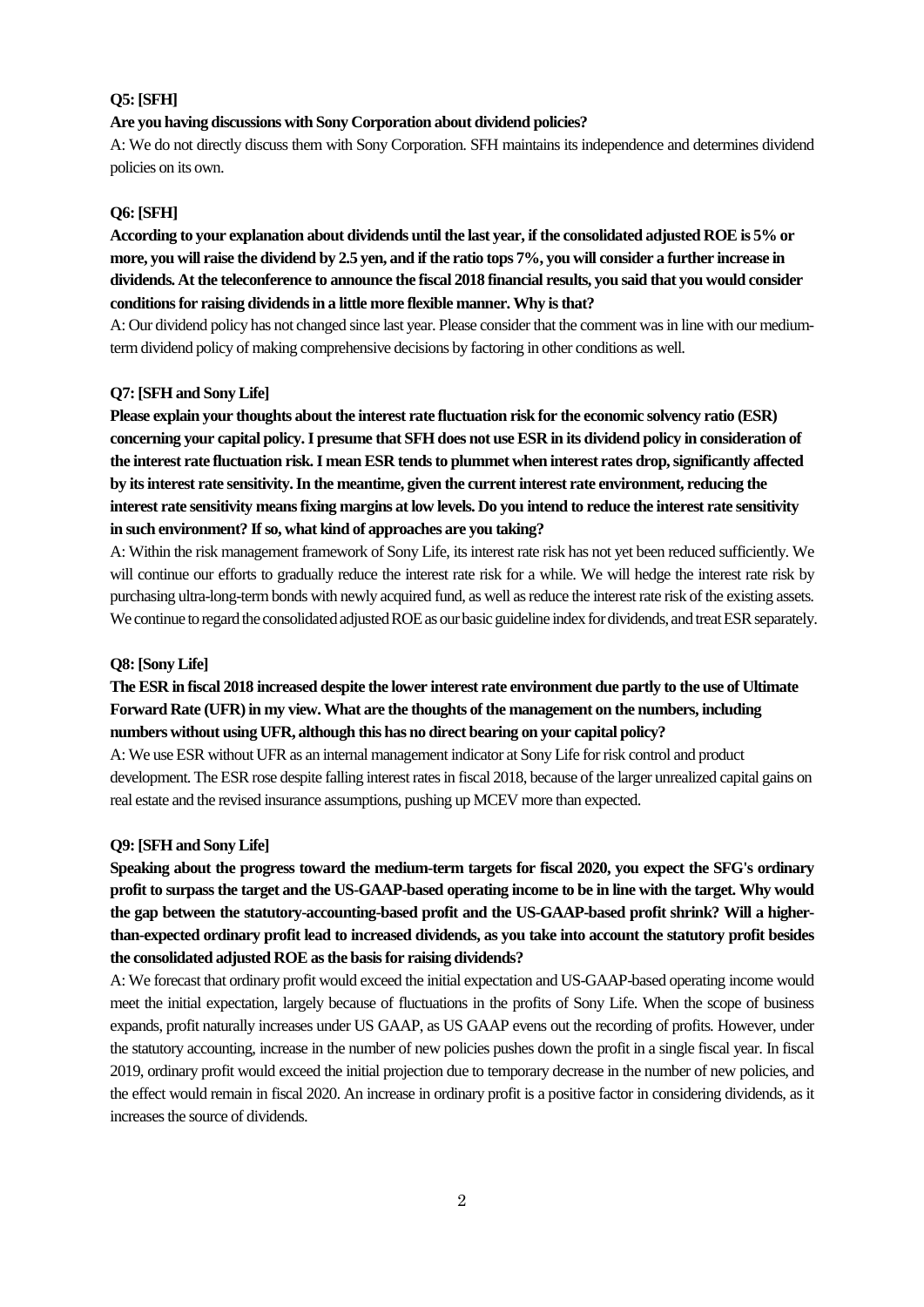## **Q5: [SFH]**

### **Are you having discussions with Sony Corporation about dividend policies?**

A: We do not directly discuss them with Sony Corporation. SFH maintains its independence and determines dividend policies on its own.

## **Q6: [SFH]**

**According to your explanation about dividends until the last year, if the consolidated adjusted ROE is 5% or more, you will raise the dividend by 2.5 yen, and if the ratio tops 7%, you will consider a further increase in dividends. At the teleconference to announce the fiscal 2018 financial results, you said that you would consider conditions for raising dividendsin a little more flexible manner. Why is that?**

A: Our dividend policy has not changed since last year. Please consider that the comment was in line with our mediumterm dividend policy of making comprehensive decisions by factoring in other conditions as well.

### **Q7: [SFH and Sony Life]**

**Please explain your thoughts about the interest rate fluctuation risk for the economic solvency ratio (ESR) concerning your capital policy.I presume that SFH does not use ESR in its dividend policy in consideration of the interest rate fluctuation risk. I mean ESR tends to plummet when interest rates drop, significantly affected by its interest rate sensitivity. In the meantime, given the current interest rate environment, reducing the interest rate sensitivity means fixing margins at low levels. Do you intend to reduce the interest rate sensitivity in such environment? If so, what kind of approaches are you taking?**

A: Within the risk management framework of Sony Life, its interest rate risk has not yet been reduced sufficiently. We will continue our efforts to gradually reduce the interest rate risk for a while. We will hedge the interest rate risk by purchasing ultra-long-term bonds with newly acquired fund, as well as reduce the interest rate risk of the existing assets. We continue to regard the consolidated adjusted ROE as our basic guideline index for dividends, and treat ESR separately.

#### **Q8: [Sony Life]**

# **The ESR in fiscal 2018 increased despite the lower interest rate environment due partly to the use of Ultimate Forward Rate (UFR) in my view. What are the thoughts of the management on the numbers, including numbers without using UFR, although this has no direct bearing on your capital policy?**

A: We use ESR without UFR as an internal management indicator at Sony Life for risk control and product development. The ESR rose despite falling interest rates in fiscal 2018, because of the larger unrealized capital gains on real estate and the revised insurance assumptions, pushing up MCEV more than expected.

### **Q9: [SFH and Sony Life]**

**Speaking about the progress toward the medium-term targets for fiscal 2020, you expect the SFG's ordinary profit to surpass the target and the US-GAAP-based operating income to be in line with the target. Why would the gap between the statutory-accounting-based profit and the US-GAAP-based profit shrink? Will a higherthan-expected ordinary profit lead to increased dividends, as you take into account the statutory profit besides the consolidated adjusted ROE as the basis for raising dividends?**

A: We forecast that ordinary profit would exceed the initial expectation and US-GAAP-based operating income would meet the initial expectation, largely because of fluctuations in the profits of Sony Life. When the scope of business expands, profit naturally increases under US GAAP, as US GAAP evens out the recording of profits. However, under the statutory accounting, increase in the number of new policies pushes down the profit in a single fiscal year. In fiscal 2019, ordinary profit would exceed the initial projection due to temporary decrease in the number of new policies, and the effect would remain in fiscal 2020. An increase in ordinary profit is a positive factor in considering dividends, as it increases the source of dividends.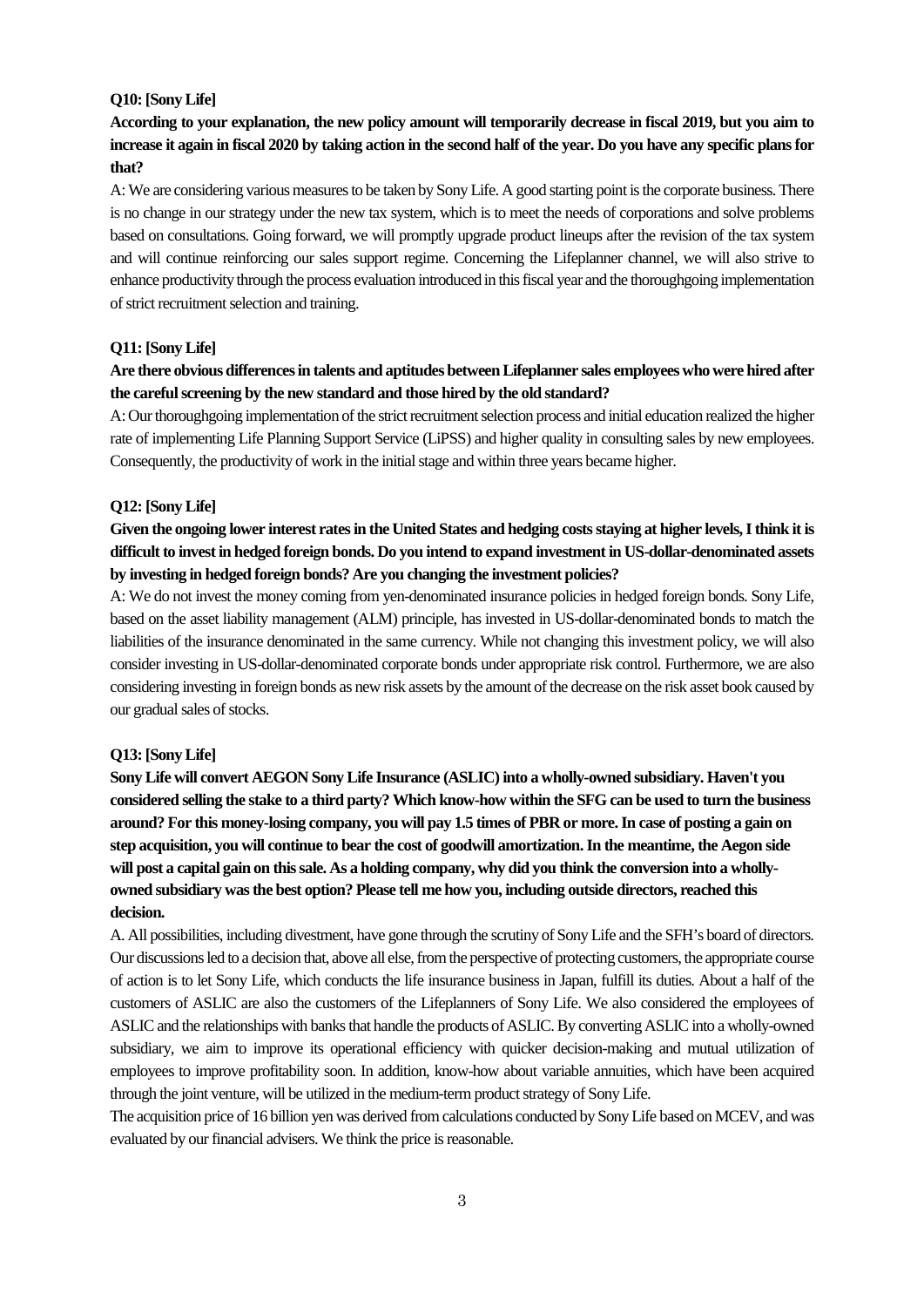### **Q10: [Sony Life]**

**According to your explanation, the new policy amount will temporarily decrease in fiscal 2019, but you aim to increase it again in fiscal 2020 by taking action in the second half of the year. Do you have any specific plans for that?** 

A: We are considering various measures to be taken by Sony Life. A good starting point is the corporate business. There is no change in our strategy under the new tax system, which is to meet the needs of corporations and solve problems based on consultations. Going forward, we will promptly upgrade product lineups after the revision of the tax system and will continue reinforcing our sales support regime. Concerning the Lifeplanner channel, we will also strive to enhance productivity through the process evaluation introduced in this fiscal year and the thoroughgoing implementation of strict recruitment selection and training.

### **Q11: [Sony Life]**

# **Are there obvious differences in talents and aptitudes between Lifeplanner sales employees who were hired after the careful screening by the new standard and those hired by the old standard?**

A: Ourthoroughgoing implementation of the strict recruitment selection process and initial education realized the higher rate of implementing Life Planning Support Service (LiPSS) and higher quality in consulting sales by new employees. Consequently, the productivity of work in the initial stage and within three years became higher.

## **Q12: [Sony Life]**

# **Given the ongoing lower interest rates in the United States and hedging costs staying at higher levels, I think it is difficult to invest in hedged foreign bonds. Do you intend to expand investment in US-dollar-denominated assets by investing in hedged foreign bonds? Are you changing the investment policies?**

A: We do not invest the money coming from yen-denominated insurance policies in hedged foreign bonds. Sony Life, based on the asset liability management (ALM) principle, has invested in US-dollar-denominated bonds to match the liabilities of the insurance denominated in the same currency. While not changing this investment policy, we will also consider investing in US-dollar-denominated corporate bonds under appropriate risk control. Furthermore, we are also considering investing in foreign bonds as new risk assets by the amount of the decrease on the risk asset book caused by our gradual sales of stocks.

### **Q13: [Sony Life]**

**Sony Life will convert AEGON Sony Life Insurance (ASLIC) into a wholly-owned subsidiary. Haven't you considered selling the stake to a third party? Which know-how within the SFG can be used to turn the business around? For this money-losing company, you will pay 1.5 times of PBR or more. In case of posting a gain on step acquisition, you will continue to bear the cost of goodwill amortization. In the meantime, the Aegon side will post a capital gain on this sale. As a holding company, why did you think the conversion into a whollyowned subsidiary was the best option? Please tell me how you, including outside directors, reached this decision.**

A. All possibilities, including divestment, have gone through the scrutiny of Sony Life and the SFH's board of directors. Our discussions led to a decision that, above all else, from the perspective of protecting customers, the appropriate course of action is to let Sony Life, which conducts the life insurance business in Japan, fulfill its duties. About a half of the customers of ASLIC are also the customers of the Lifeplanners of Sony Life. We also considered the employees of ASLIC and the relationships with banks that handle the products of ASLIC. By converting ASLIC into a wholly-owned subsidiary, we aim to improve its operational efficiency with quicker decision-making and mutual utilization of employees to improve profitability soon. In addition, know-how about variable annuities, which have been acquired through the joint venture, will be utilized in the medium-term product strategy of Sony Life.

The acquisition price of 16 billion yen was derived from calculations conducted by Sony Life based on MCEV, and was evaluated by our financial advisers. We think the price is reasonable.